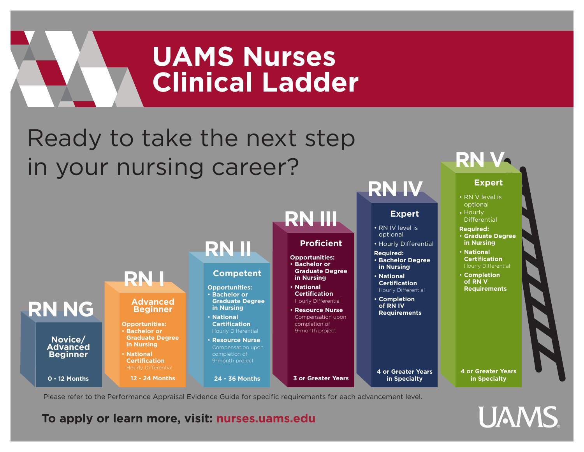## **UAMS Nurses Clinical Ladder** Ready to take the next step in your nursing career? **RN III RN IV RN V Expert Expert** • RN V level is • Hourly optional **Differential**



Please refer to the Performance Appraisal Evidence Guide for specific requirements for each advancement level.

### **To apply or learn more, visit: nurses.uams.edu**

**UAMS**